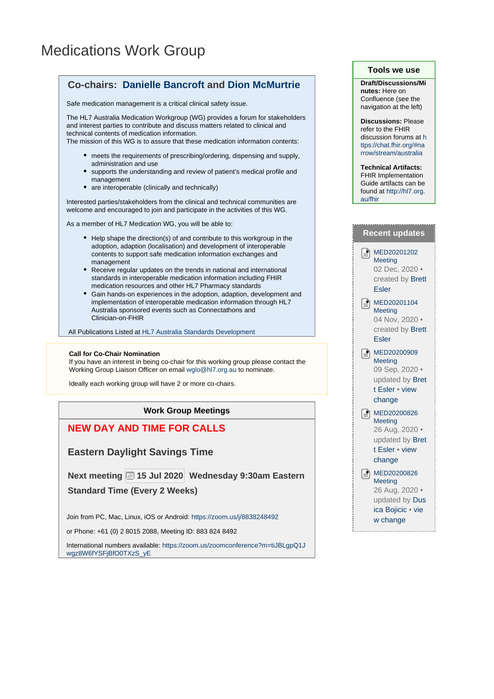## Medications Work Group



**Work Group Meetings**

**NEW DAY AND TIME FOR CALLS**

**Eastern Daylight Savings Time**

**Next meeting 15 Jul 2020 Wednesday 9:30am Eastern**

**Standard Time (Every 2 Weeks)**

Join from PC, Mac, Linux, iOS or Android: <https://zoom.us/j/8838248492>

or Phone: +61 (0) 2 8015 2088, Meeting ID: 883 824 8492

International numbers available: [https://zoom.us/zoomconference?m=tiJBLgpQ1J](https://zoom.us/zoomconference?m=tiJBLgpQ1Jwgz8W6fYSFjBfO0TXzS_yE) [wgz8W6fYSFjBfO0TXzS\\_yE](https://zoom.us/zoomconference?m=tiJBLgpQ1Jwgz8W6fYSFjBfO0TXzS_yE)

## **Tools we use**

**Draft/Discussions/Mi nutes:** Here on Confluence (see the navigation at the left)

**Discussions:** Please refer to the FHIR discussion forums at [h](https://chat.fhir.org/#narrow/stream/australia) [ttps://chat.fhir.org/#na](https://chat.fhir.org/#narrow/stream/australia) [rrow/stream/australia](https://chat.fhir.org/#narrow/stream/australia)

**Technical Artifacts:** FHIR Implementation

Guide artifacts can be found at [http://hl7.org.](http://hl7.org.au/fhir) [au/fhir](http://hl7.org.au/fhir)

|                            | <b>Recent updates</b>                                                                              |
|----------------------------|----------------------------------------------------------------------------------------------------|
| $\left[\frac{1}{2}\right]$ | MED20201202<br>Meeting<br>02 Dec, 2020 ·<br>created by Brett<br><b>Esler</b>                       |
| e                          | MED20201104<br>Meeting<br>04 Nov, 2020 ·<br>created by Brett<br><b>Esler</b>                       |
| $\left[\frac{1}{2}\right]$ | MED20200909<br>Meeting<br>09 Sep, 2020 ·<br>updated by Bret<br>t Esler • view<br>change            |
| l≞l                        | MED20200826<br>Meeting<br>26 Aug, 2020 ·<br>updated by Bret<br>t Esler • view<br>change            |
| e.                         | MED20200826<br><b>Meeting</b><br>26 Aug, 2020 ·<br>updated by Dus<br>ica Bojicic · vie<br>w change |
|                            |                                                                                                    |